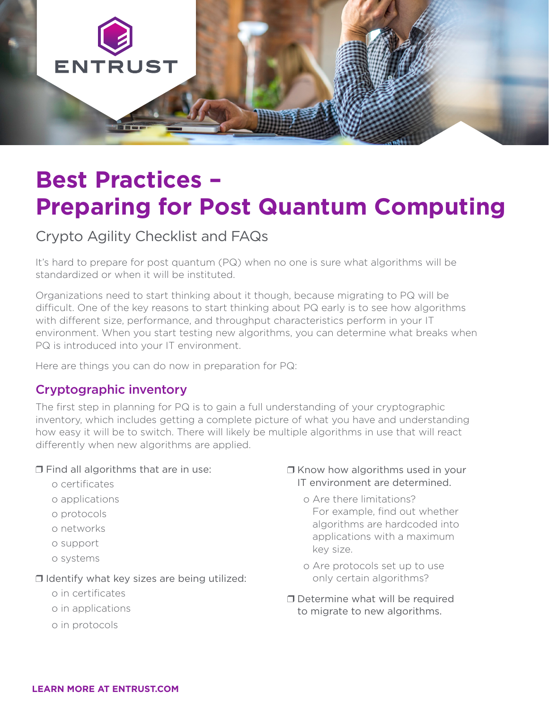

# **Best Practices – Preparing for Post Quantum Computing**

## Crypto Agility Checklist and FAQs

It's hard to prepare for post quantum (PQ) when no one is sure what algorithms will be standardized or when it will be instituted.

Organizations need to start thinking about it though, because migrating to PQ will be difficult. One of the key reasons to start thinking about PQ early is to see how algorithms with different size, performance, and throughput characteristics perform in your IT environment. When you start testing new algorithms, you can determine what breaks when PQ is introduced into your IT environment.

Here are things you can do now in preparation for PQ:

## Cryptographic inventory

The first step in planning for PQ is to gain a full understanding of your cryptographic inventory, which includes getting a complete picture of what you have and understanding how easy it will be to switch. There will likely be multiple algorithms in use that will react differently when new algorithms are applied.

#### ❒ Find all algorithms that are in use:

- o certificates
- o applications
- o protocols
- o networks
- o support
- o systems

❒ Identify what key sizes are being utilized:

- o in certificates
- o in applications
- o in protocols
- ❒ Know how algorithms used in your IT environment are determined.
	- o Are there limitations? For example, find out whether algorithms are hardcoded into applications with a maximum key size.
	- o Are protocols set up to use only certain algorithms?
- ❒ Determine what will be required to migrate to new algorithms.